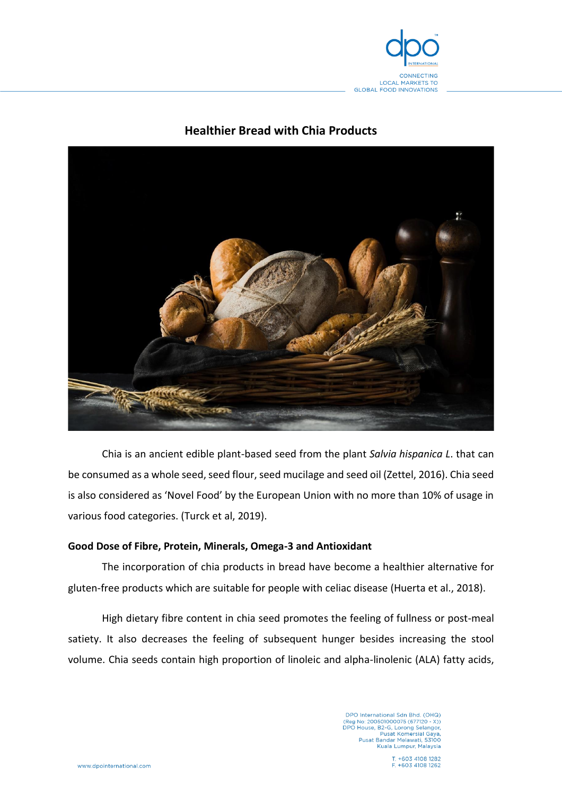

# **Healthier Bread with Chia Products**



Chia is an ancient edible plant-based seed from the plant *Salvia hispanica L*. that can be consumed as a whole seed, seed flour, seed mucilage and seed oil (Zettel, 2016). Chia seed is also considered as 'Novel Food' by the European Union with no more than 10% of usage in various food categories. (Turck et al, 2019).

## **Good Dose of Fibre, Protein, Minerals, Omega-3 and Antioxidant**

The incorporation of chia products in bread have become a healthier alternative for gluten-free products which are suitable for people with celiac disease (Huerta et al., 2018).

High dietary fibre content in chia seed promotes the feeling of fullness or post-meal satiety. It also decreases the feeling of subsequent hunger besides increasing the stool volume. Chia seeds contain high proportion of linoleic and alpha-linolenic (ALA) fatty acids,

> DPO International Sdn Bhd. (OHQ)<br>(Reg No: 200501000075 (677120 - X))<br>DPO House, B2-G, Lorong Selangor,<br>Pusat Komersial Gaya,<br>Pusat Bandar Melawati, 53100 Kuala Lumpur, Malaysia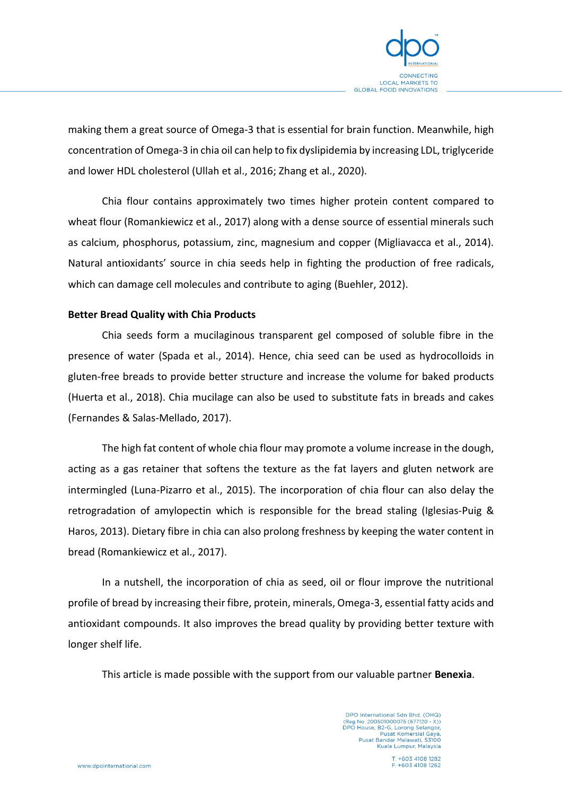

making them a great source of Omega-3 that is essential for brain function. Meanwhile, high concentration of Omega-3 in chia oil can help to fix dyslipidemia by increasing LDL, triglyceride and lower HDL cholesterol (Ullah et al., 2016; Zhang et al., 2020).

Chia flour contains approximately two times higher protein content compared to wheat flour (Romankiewicz et al., 2017) along with a dense source of essential minerals such as calcium, phosphorus, potassium, zinc, magnesium and copper (Migliavacca et al., 2014). Natural antioxidants' source in chia seeds help in fighting the production of free radicals, which can damage cell molecules and contribute to aging (Buehler, 2012).

#### **Better Bread Quality with Chia Products**

Chia seeds form a mucilaginous transparent gel composed of soluble fibre in the presence of water (Spada et al., 2014). Hence, chia seed can be used as hydrocolloids in gluten-free breads to provide better structure and increase the volume for baked products (Huerta et al., 2018). Chia mucilage can also be used to substitute fats in breads and cakes (Fernandes & Salas-Mellado, 2017).

The high fat content of whole chia flour may promote a volume increase in the dough, acting as a gas retainer that softens the texture as the fat layers and gluten network are intermingled (Luna-Pizarro et al., 2015). The incorporation of chia flour can also delay the retrogradation of amylopectin which is responsible for the bread staling (Iglesias-Puig & Haros, 2013). Dietary fibre in chia can also prolong freshness by keeping the water content in bread (Romankiewicz et al., 2017).

In a nutshell, the incorporation of chia as seed, oil or flour improve the nutritional profile of bread by increasing their fibre, protein, minerals, Omega-3, essential fatty acids and antioxidant compounds. It also improves the bread quality by providing better texture with longer shelf life.

This article is made possible with the support from our valuable partner **Benexia**.

DPO International Sdn Bhd. (OHQ)<br>(Reg No: 200501000075 (677120 - X))<br>DPO House, B2-G, Lorong Selangor, Pusat Komersial Gaya,<br>Pusat Bandar Melawati, 53100 Kuala Lumpur, Malaysia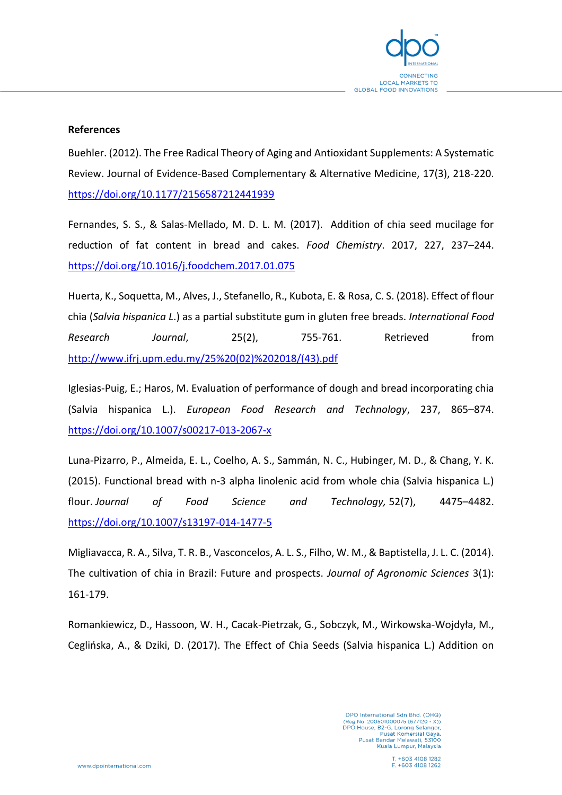

## **References**

Buehler. (2012). The Free Radical Theory of Aging and Antioxidant Supplements: A Systematic Review. Journal of Evidence-Based Complementary & Alternative Medicine, 17(3), 218-220. <https://doi.org/10.1177/2156587212441939>

Fernandes, S. S., & Salas-Mellado, M. D. L. M. (2017). Addition of chia seed mucilage for reduction of fat content in bread and cakes. *Food Chemistry*. 2017, 227, 237–244. <https://doi.org/10.1016/j.foodchem.2017.01.075>

Huerta, K., Soquetta, M., Alves, J., Stefanello, R., Kubota, E. & Rosa, C. S. (2018). Effect of flour chia (*Salvia hispanica L*.) as a partial substitute gum in gluten free breads. *International Food Research Journal*, 25(2), 755-761. Retrieved from [http://www.ifrj.upm.edu.my/25%20\(02\)%202018/\(43\).pdf](http://www.ifrj.upm.edu.my/25%20(02)%202018/(43).pdf) 

Iglesias-Puig, E.; Haros, M. Evaluation of performance of dough and bread incorporating chia (Salvia hispanica L.). *European Food Research and Technology*, 237, 865–874. <https://doi.org/10.1007/s00217-013-2067-x>

Luna-Pizarro, P., Almeida, E. L., Coelho, A. S., Sammán, N. C., Hubinger, M. D., & Chang, Y. K. (2015). Functional bread with n-3 alpha linolenic acid from whole chia (Salvia hispanica L.) flour. *Journal of Food Science and Technology,* 52(7), 4475–4482. <https://doi.org/10.1007/s13197-014-1477-5>

Migliavacca, R. A., Silva, T. R. B., Vasconcelos, A. L. S., Filho, W. M., & Baptistella, J. L. C. (2014). The cultivation of chia in Brazil: Future and prospects. *Journal of Agronomic Sciences* 3(1): 161-179.

Romankiewicz, D., Hassoon, W. H., Cacak-Pietrzak, G., Sobczyk, M., Wirkowska-Wojdyła, M., Ceglińska, A., & Dziki, D. (2017). The Effect of Chia Seeds (Salvia hispanica L.) Addition on

> DPO International Sdn Bhd. (OHQ)<br>(Reg No: 200501000075 (677120 - X))<br>DPO House, B2-G, Lorong Selangor, Pusat Komersial Gaya,<br>Pusat Bandar Melawati, 53100 Kuala Lumpur, Malaysia